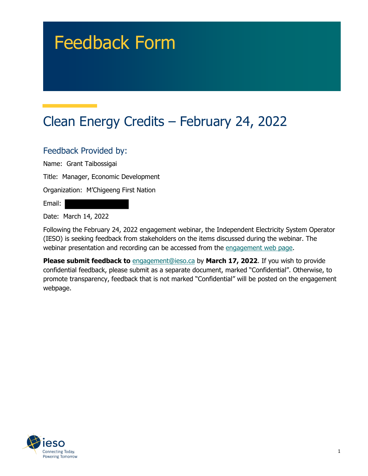# Feedback Form

# Clean Energy Credits – February 24, 2022

#### Feedback Provided by:

Name: Grant Taibossigai

Title: Manager, Economic Development

Organization: M'Chigeeng First Nation

Email:

Date: March 14, 2022

Following the February 24, 2022 engagement webinar, the Independent Electricity System Operator (IESO) is seeking feedback from stakeholders on the items discussed during the webinar. The webinar presentation and recording can be accessed from the engagement web page.

**Please submit feedback to** engagement@ieso.ca by March 17, 2022. If you wish to provide confidential feedback, please submit as a separate document, marked "Confidential". Otherwise, to promote transparency, feedback that is not marked "Confidential" will be posted on the engagement webpage.

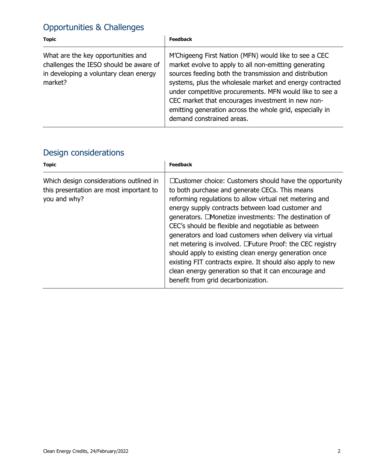## Opportunities & Challenges

| <b>Topic</b>                                                                                                                      | <b>Feedback</b>                                                                                                                                                                                                                                                                                                                                                                                                                               |
|-----------------------------------------------------------------------------------------------------------------------------------|-----------------------------------------------------------------------------------------------------------------------------------------------------------------------------------------------------------------------------------------------------------------------------------------------------------------------------------------------------------------------------------------------------------------------------------------------|
| What are the key opportunities and<br>challenges the IESO should be aware of<br>in developing a voluntary clean energy<br>market? | M'Chigeeng First Nation (MFN) would like to see a CEC<br>market evolve to apply to all non-emitting generating<br>sources feeding both the transmission and distribution<br>systems, plus the wholesale market and energy contracted<br>under competitive procurements. MFN would like to see a<br>CEC market that encourages investment in new non-<br>emitting generation across the whole grid, especially in<br>demand constrained areas. |

## Design considerations

| <b>Topic</b>                                                                                       | <b>Feedback</b>                                                                                                                                                                                                                                                                                                                                                                                                                                                                                                                                                                                                                                                                         |
|----------------------------------------------------------------------------------------------------|-----------------------------------------------------------------------------------------------------------------------------------------------------------------------------------------------------------------------------------------------------------------------------------------------------------------------------------------------------------------------------------------------------------------------------------------------------------------------------------------------------------------------------------------------------------------------------------------------------------------------------------------------------------------------------------------|
| Which design considerations outlined in<br>this presentation are most important to<br>you and why? | □ Customer choice: Customers should have the opportunity<br>to both purchase and generate CECs. This means<br>reforming regulations to allow virtual net metering and<br>energy supply contracts between load customer and<br>generators. □ Monetize investments: The destination of<br>CEC's should be flexible and negotiable as between<br>generators and load customers when delivery via virtual<br>net metering is involved. □Future Proof: the CEC registry<br>should apply to existing clean energy generation once<br>existing FIT contracts expire. It should also apply to new<br>clean energy generation so that it can encourage and<br>benefit from grid decarbonization. |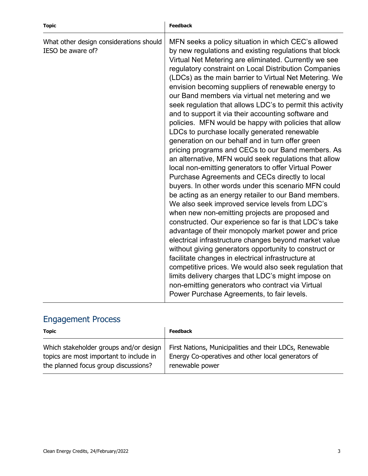| <b>Topic</b>                                                 | <b>Feedback</b>                                                                                                                                                                                                                                                                                                                                                                                                                                                                                                                                                                                                                                                                                                                                                                                                                                                                                                                                                                                                                                                                                                                                                                                                                                                                                                                                                                                                                                                                                                                                                                                                                             |
|--------------------------------------------------------------|---------------------------------------------------------------------------------------------------------------------------------------------------------------------------------------------------------------------------------------------------------------------------------------------------------------------------------------------------------------------------------------------------------------------------------------------------------------------------------------------------------------------------------------------------------------------------------------------------------------------------------------------------------------------------------------------------------------------------------------------------------------------------------------------------------------------------------------------------------------------------------------------------------------------------------------------------------------------------------------------------------------------------------------------------------------------------------------------------------------------------------------------------------------------------------------------------------------------------------------------------------------------------------------------------------------------------------------------------------------------------------------------------------------------------------------------------------------------------------------------------------------------------------------------------------------------------------------------------------------------------------------------|
| What other design considerations should<br>IESO be aware of? | MFN seeks a policy situation in which CEC's allowed<br>by new regulations and existing regulations that block<br>Virtual Net Metering are eliminated. Currently we see<br>regulatory constraint on Local Distribution Companies<br>(LDCs) as the main barrier to Virtual Net Metering. We<br>envision becoming suppliers of renewable energy to<br>our Band members via virtual net metering and we<br>seek regulation that allows LDC's to permit this activity<br>and to support it via their accounting software and<br>policies. MFN would be happy with policies that allow<br>LDCs to purchase locally generated renewable<br>generation on our behalf and in turn offer green<br>pricing programs and CECs to our Band members. As<br>an alternative, MFN would seek regulations that allow<br>local non-emitting generators to offer Virtual Power<br>Purchase Agreements and CECs directly to local<br>buyers. In other words under this scenario MFN could<br>be acting as an energy retailer to our Band members.<br>We also seek improved service levels from LDC's<br>when new non-emitting projects are proposed and<br>constructed. Our experience so far is that LDC's take<br>advantage of their monopoly market power and price<br>electrical infrastructure changes beyond market value<br>without giving generators opportunity to construct or<br>facilitate changes in electrical infrastructure at<br>competitive prices. We would also seek regulation that<br>limits delivery charges that LDC's might impose on<br>non-emitting generators who contract via Virtual<br>Power Purchase Agreements, to fair levels. |

#### Engagement Process

| Topic                                   | <b>Feedback</b>                                         |
|-----------------------------------------|---------------------------------------------------------|
| Which stakeholder groups and/or design  | First Nations, Municipalities and their LDCs, Renewable |
| topics are most important to include in | Energy Co-operatives and other local generators of      |
| the planned focus group discussions?    | renewable power                                         |